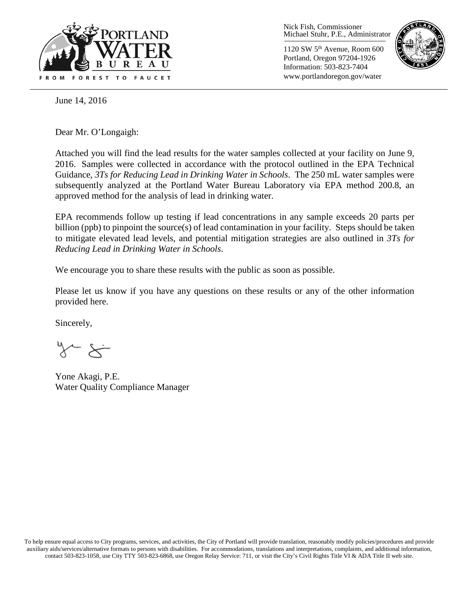

Nick Fish, Commissioner Michael Stuhr, P.E., Administrator

1120 SW 5th Avenue, Room 600 Portland, Oregon 97204-1926 Information: 503-823-7404 www.portlandoregon.gov/water



June 14, 2016

Dear Mr. O'Longaigh:

Attached you will find the lead results for the water samples collected at your facility on June 9, 2016. Samples were collected in accordance with the protocol outlined in the EPA Technical Guidance, *3Ts for Reducing Lead in Drinking Water in Schools*. The 250 mL water samples were subsequently analyzed at the Portland Water Bureau Laboratory via EPA method 200.8, an approved method for the analysis of lead in drinking water.

EPA recommends follow up testing if lead concentrations in any sample exceeds 20 parts per billion (ppb) to pinpoint the source(s) of lead contamination in your facility. Steps should be taken to mitigate elevated lead levels, and potential mitigation strategies are also outlined in *3Ts for Reducing Lead in Drinking Water in Schools*.

We encourage you to share these results with the public as soon as possible.

Please let us know if you have any questions on these results or any of the other information provided here.

Sincerely,

 $x \leftarrow x$ 

Yone Akagi, P.E. Water Quality Compliance Manager